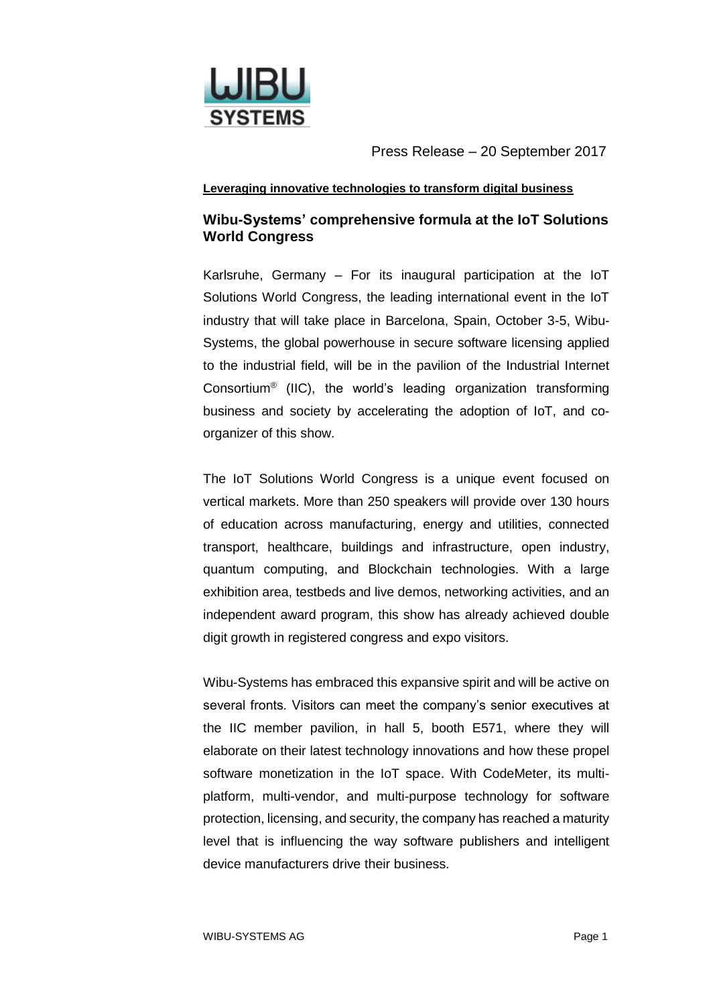

### **Leveraging innovative technologies to transform digital business**

## **Wibu-Systems' comprehensive formula at the IoT Solutions World Congress**

Karlsruhe, Germany – For its inaugural participation at the IoT Solutions World Congress, the leading international event in the IoT industry that will take place in Barcelona, Spain, October 3-5, Wibu-Systems, the global powerhouse in secure software licensing applied to the industrial field, will be in the pavilion of the Industrial Internet Consortium® (IIC), the world's leading organization transforming business and society by accelerating the adoption of IoT, and coorganizer of this show.

The IoT Solutions World Congress is a unique event focused on vertical markets. More than 250 speakers will provide over 130 hours of education across manufacturing, energy and utilities, connected transport, healthcare, buildings and infrastructure, open industry, quantum computing, and Blockchain technologies. With a large exhibition area, testbeds and live demos, networking activities, and an independent award program, this show has already achieved double digit growth in registered congress and expo visitors.

Wibu-Systems has embraced this expansive spirit and will be active on several fronts. Visitors can meet the company's senior executives at the IIC member pavilion, in hall 5, booth E571, where they will elaborate on their latest technology innovations and how these propel software monetization in the IoT space. With CodeMeter, its multiplatform, multi-vendor, and multi-purpose technology for software protection, licensing, and security, the company has reached a maturity level that is influencing the way software publishers and intelligent device manufacturers drive their business.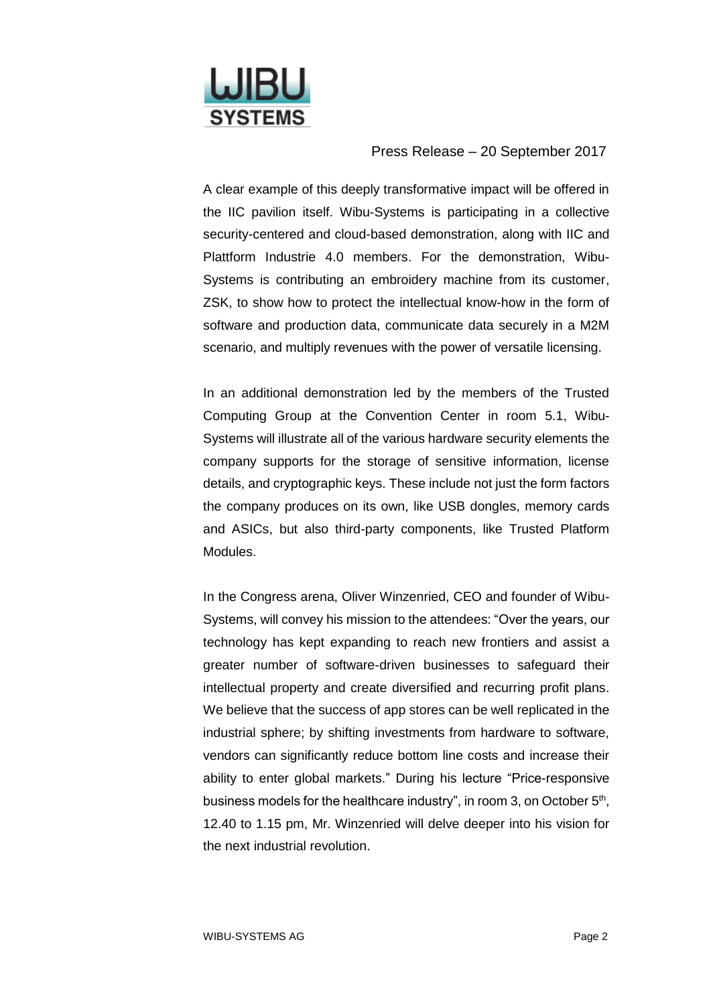

A clear example of this deeply transformative impact will be offered in the IIC pavilion itself. Wibu-Systems is participating in a collective security-centered and cloud-based demonstration, along with IIC and Plattform Industrie 4.0 members. For the demonstration, Wibu-Systems is contributing an embroidery machine from its customer, ZSK, to show how to protect the intellectual know-how in the form of software and production data, communicate data securely in a M2M scenario, and multiply revenues with the power of versatile licensing.

In an additional demonstration led by the members of the Trusted Computing Group at the Convention Center in room 5.1, Wibu-Systems will illustrate all of the various hardware security elements the company supports for the storage of sensitive information, license details, and cryptographic keys. These include not just the form factors the company produces on its own, like USB dongles, memory cards and ASICs, but also third-party components, like Trusted Platform Modules.

In the Congress arena, Oliver Winzenried, CEO and founder of Wibu-Systems, will convey his mission to the attendees: "Over the years, our technology has kept expanding to reach new frontiers and assist a greater number of software-driven businesses to safeguard their intellectual property and create diversified and recurring profit plans. We believe that the success of app stores can be well replicated in the industrial sphere; by shifting investments from hardware to software, vendors can significantly reduce bottom line costs and increase their ability to enter global markets." During his lecture "Price-responsive business models for the healthcare industry", in room 3, on October 5<sup>th</sup>, 12.40 to 1.15 pm, Mr. Winzenried will delve deeper into his vision for the next industrial revolution.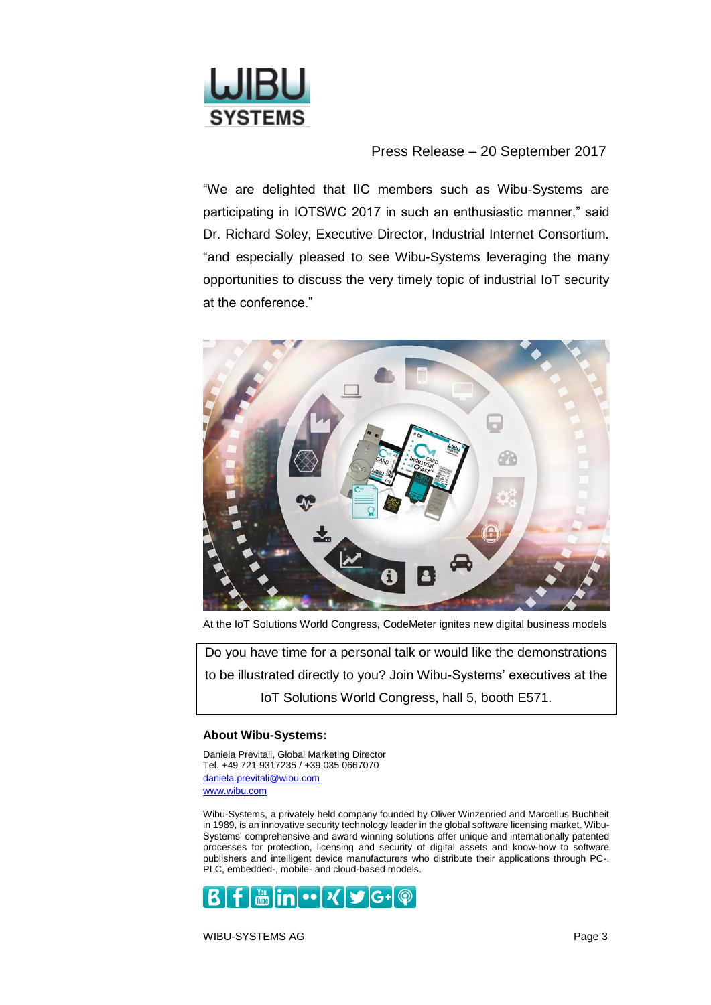

"We are delighted that IIC members such as Wibu-Systems are participating in IOTSWC 2017 in such an enthusiastic manner," said Dr. Richard Soley, Executive Director, Industrial Internet Consortium. "and especially pleased to see Wibu-Systems leveraging the many opportunities to discuss the very timely topic of industrial IoT security at the conference."



At the IoT Solutions World Congress, CodeMeter ignites new digital business models

Do you have time for a personal talk or would like the demonstrations to be illustrated directly to you? Join Wibu-Systems' executives at the IoT Solutions World Congress, hall 5, booth E571.

#### **About Wibu-Systems:**

Daniela Previtali, Global Marketing Director Tel. +49 721 9317235 / +39 035 0667070 [daniela.previtali@wibu.com](mailto:daniela.previtali@wibu.com) [www.wibu.com](http://www.wibu.com/)

Wibu-Systems, a privately held company founded by Oliver Winzenried and Marcellus Buchheit in 1989, is an innovative security technology leader in the global software licensing market. Wibu-Systems' comprehensive and award winning solutions offer unique and internationally patented processes for protection, licensing and security of digital assets and know-how to software publishers and intelligent device manufacturers who distribute their applications through PC-, PLC, embedded-, mobile- and cloud-based models.



WIBU-SYSTEMS AG Page 3